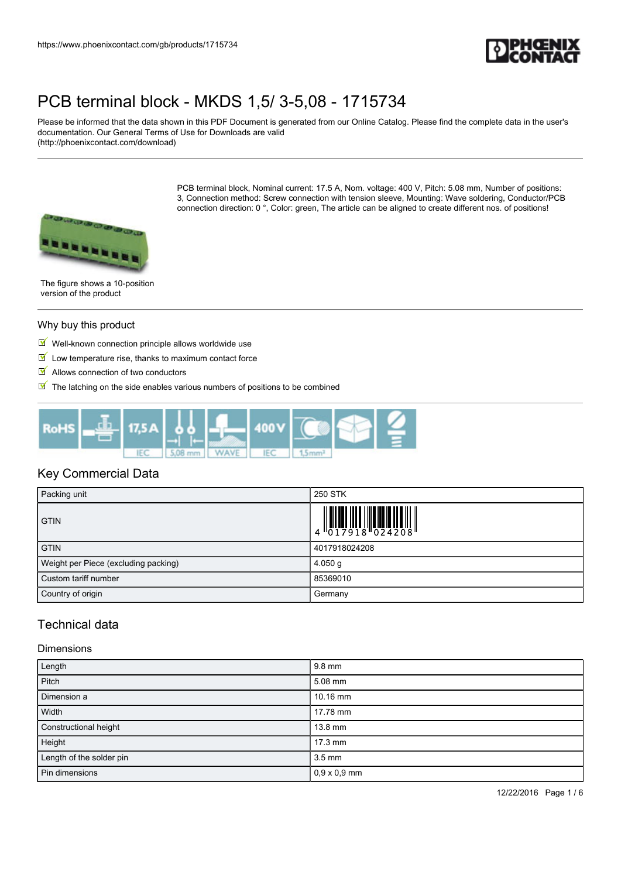

Please be informed that the data shown in this PDF Document is generated from our Online Catalog. Please find the complete data in the user's documentation. Our General Terms of Use for Downloads are valid (http://phoenixcontact.com/download)

> PCB terminal block, Nominal current: 17.5 A, Nom. voltage: 400 V, Pitch: 5.08 mm, Number of positions: 3, Connection method: Screw connection with tension sleeve, Mounting: Wave soldering, Conductor/PCB connection direction: 0 °, Color: green, The article can be aligned to create different nos. of positions!



The figure shows a 10-position version of the product

#### Why buy this product

- $\blacksquare$  Well-known connection principle allows worldwide use
- $\blacksquare$  Low temperature rise, thanks to maximum contact force
- $\blacksquare$  Allows connection of two conductors
- $\blacksquare$  The latching on the side enables various numbers of positions to be combined



### Key Commercial Data

| Packing unit                         | 250 STK       |
|--------------------------------------|---------------|
| <b>GTIN</b>                          |               |
| <b>GTIN</b>                          | 4017918024208 |
| Weight per Piece (excluding packing) | $4.050$ g     |
| Custom tariff number                 | 85369010      |
| Country of origin                    | Germany       |

### Technical data

### Dimensions

| Length                   | 9.8 mm              |
|--------------------------|---------------------|
| Pitch                    | 5.08 mm             |
| Dimension a              | $10.16$ mm          |
| Width                    | 17.78 mm            |
| Constructional height    | $13.8$ mm           |
| Height                   | $17.3 \text{ mm}$   |
| Length of the solder pin | $3.5 \text{ mm}$    |
| Pin dimensions           | $0,9 \times 0,9$ mm |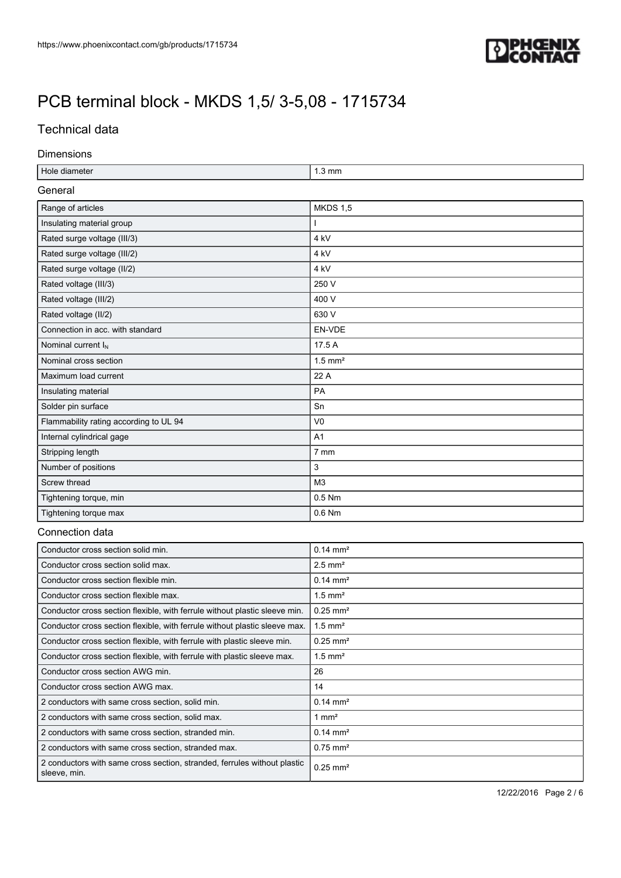

## Technical data

### Dimensions

| Hole diameter                                                                            | $1.3 \text{ mm}$       |  |  |  |
|------------------------------------------------------------------------------------------|------------------------|--|--|--|
| General                                                                                  |                        |  |  |  |
| Range of articles                                                                        | <b>MKDS 1,5</b>        |  |  |  |
| Insulating material group                                                                |                        |  |  |  |
| Rated surge voltage (III/3)                                                              | 4 kV                   |  |  |  |
| Rated surge voltage (III/2)                                                              | 4 <sub>kV</sub>        |  |  |  |
| Rated surge voltage (II/2)                                                               | 4 kV                   |  |  |  |
| Rated voltage (III/3)                                                                    | 250 V                  |  |  |  |
| Rated voltage (III/2)                                                                    | 400 V                  |  |  |  |
| Rated voltage (II/2)                                                                     | 630 V                  |  |  |  |
| Connection in acc. with standard                                                         | EN-VDE                 |  |  |  |
| Nominal current I <sub>N</sub>                                                           | 17.5 A                 |  |  |  |
| Nominal cross section                                                                    | $1.5$ mm <sup>2</sup>  |  |  |  |
| Maximum load current                                                                     | 22 A                   |  |  |  |
| Insulating material                                                                      | PA                     |  |  |  |
| Solder pin surface                                                                       | Sn                     |  |  |  |
| Flammability rating according to UL 94                                                   | V <sub>0</sub>         |  |  |  |
| Internal cylindrical gage                                                                | A1                     |  |  |  |
| Stripping length                                                                         | 7 mm                   |  |  |  |
| Number of positions                                                                      | 3                      |  |  |  |
| Screw thread                                                                             | M <sub>3</sub>         |  |  |  |
| Tightening torque, min                                                                   | 0.5 Nm                 |  |  |  |
| Tightening torque max                                                                    | 0.6 Nm                 |  |  |  |
| Connection data                                                                          |                        |  |  |  |
| Conductor cross section solid min.                                                       | $0.14 \, \text{mm}^2$  |  |  |  |
| Conductor cross section solid max.                                                       | $2.5$ mm <sup>2</sup>  |  |  |  |
| Conductor cross section flexible min.                                                    | $0.14 \, \text{mm}^2$  |  |  |  |
| Conductor cross section flexible max.                                                    | $1.5$ mm <sup>2</sup>  |  |  |  |
| Conductor cross section flexible, with ferrule without plastic sleeve min.               | $0.25$ mm <sup>2</sup> |  |  |  |
| Conductor cross section flexible, with ferrule without plastic sleeve max.               | $1.5$ mm <sup>2</sup>  |  |  |  |
| Conductor cross section flexible, with ferrule with plastic sleeve min.                  | $0.25$ mm <sup>2</sup> |  |  |  |
| Conductor cross section flexible, with ferrule with plastic sleeve max.                  | $1.5$ mm <sup>2</sup>  |  |  |  |
| Conductor cross section AWG min.                                                         | 26                     |  |  |  |
| Conductor cross section AWG max.                                                         | 14                     |  |  |  |
| 2 conductors with same cross section, solid min.                                         | $0.14 \, \text{mm}^2$  |  |  |  |
| 2 conductors with same cross section, solid max.                                         | $1 \text{ mm}^2$       |  |  |  |
| 2 conductors with same cross section, stranded min.                                      | $0.14 \, \text{mm}^2$  |  |  |  |
| 2 conductors with same cross section, stranded max.                                      | $0.75$ mm <sup>2</sup> |  |  |  |
| 2 conductors with same cross section, stranded, ferrules without plastic<br>sleeve, min. | $0.25$ mm <sup>2</sup> |  |  |  |

12/22/2016 Page 2 / 6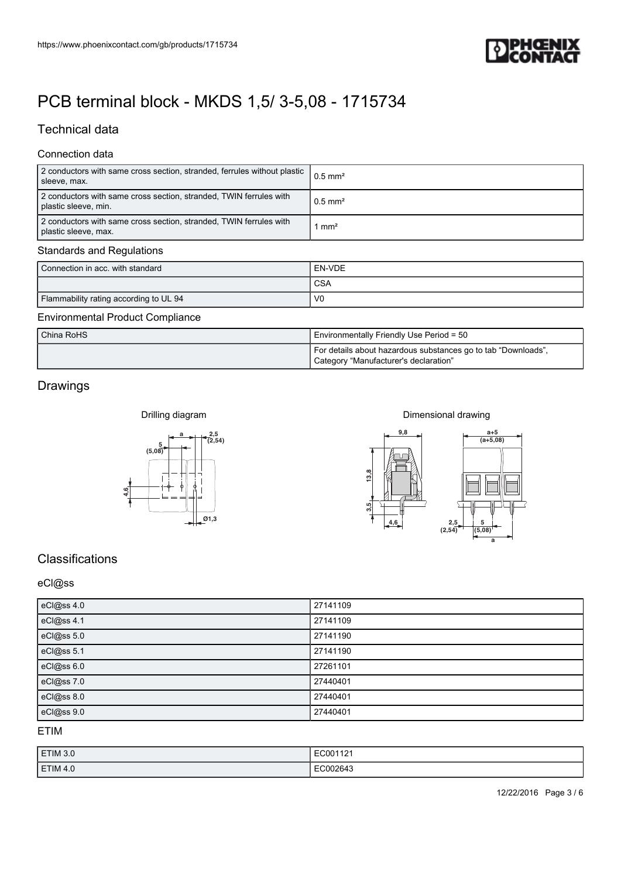

## Technical data

### Connection data

| 2 conductors with same cross section, stranded, ferrules without plastic<br>sleeve, max.   | $0.5$ mm <sup>2</sup> |
|--------------------------------------------------------------------------------------------|-----------------------|
| 2 conductors with same cross section, stranded, TWIN ferrules with<br>plastic sleeve, min. | $0.5 \text{ mm}^2$    |
| 2 conductors with same cross section, stranded, TWIN ferrules with<br>plastic sleeve, max. | mm <sup>2</sup>       |

### Standards and Regulations

| Connection in acc. with standard       | EN-VDE         |
|----------------------------------------|----------------|
|                                        | <b>CSA</b>     |
| Flammability rating according to UL 94 | V <sub>0</sub> |

### Environmental Product Compliance

| China RoHS | Environmentally Friendly Use Period = 50                                                               |  |
|------------|--------------------------------------------------------------------------------------------------------|--|
|            | For details about hazardous substances go to tab "Downloads",<br>Category "Manufacturer's declaration" |  |

## Drawings



#### Dimensional drawing



## **Classifications**

### eCl@ss

| eCl@ss 4.0 | 27141109 |
|------------|----------|
| eCl@ss 4.1 | 27141109 |
| eCl@ss 5.0 | 27141190 |
| eCl@ss 5.1 | 27141190 |
| eCl@ss 6.0 | 27261101 |
| eCl@ss 7.0 | 27440401 |
| eCl@ss 8.0 | 27440401 |
| eCl@ss 9.0 | 27440401 |

ETIM

| ETIM 3.0        | $\cdot$ $\sim$<br>$EC00112$ . |
|-----------------|-------------------------------|
| <b>ETIM 4.0</b> | ിപ്പ<br>.                     |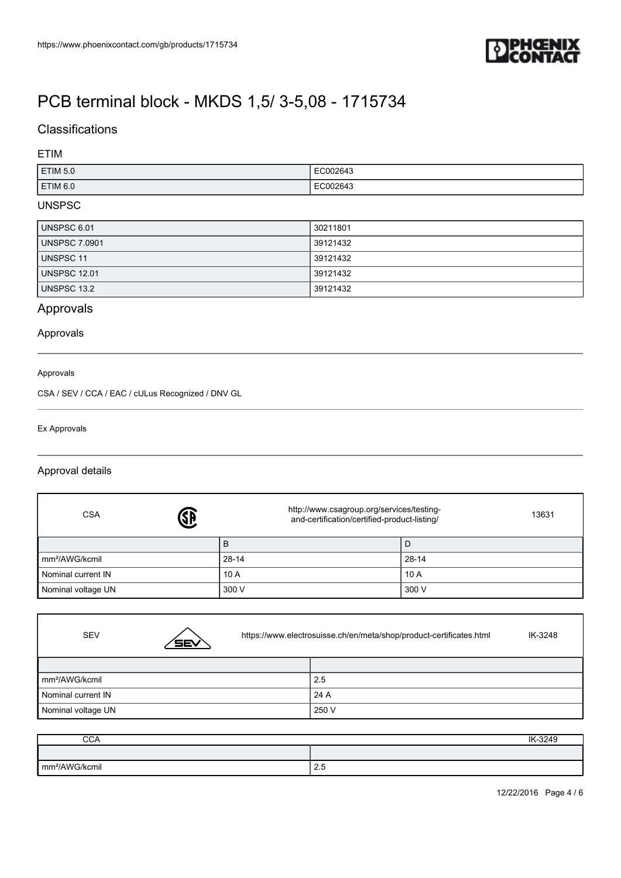

## **Classifications**

### ETIM

| <b>ETIM 5.0</b>    | 2643<br>. |
|--------------------|-----------|
| ETIM <sub>60</sub> | 264:      |

### UNSPSC

| UNSPSC 6.01         | 30211801 |
|---------------------|----------|
| UNSPSC 7.0901       | 39121432 |
| UNSPSC 11           | 39121432 |
| <b>UNSPSC 12.01</b> | 39121432 |
| UNSPSC 13.2         | 39121432 |

## Approvals

### Approvals

#### Approvals

CSA / SEV / CCA / EAC / cULus Recognized / DNV GL

#### Ex Approvals

 $\Gamma$ 

### Approval details

| <b>SB</b><br><b>CSA</b>    | http://www.csagroup.org/services/testing-<br>and-certification/certified-product-listing/ | 13631     |
|----------------------------|-------------------------------------------------------------------------------------------|-----------|
|                            | в                                                                                         | Ð         |
| mm <sup>2</sup> /AWG/kcmil | 28-14                                                                                     | $28 - 14$ |
| Nominal current IN         | 10A                                                                                       | 10A       |
| Nominal voltage UN         | 300 V                                                                                     | 300 V     |

| <b>SEV</b>                 | <b>SEV</b> | https://www.electrosuisse.ch/en/meta/shop/product-certificates.html |       | IK-3248 |
|----------------------------|------------|---------------------------------------------------------------------|-------|---------|
|                            |            |                                                                     |       |         |
| mm <sup>2</sup> /AWG/kcmil |            |                                                                     | 2.5   |         |
| Nominal current IN         |            |                                                                     | 24 A  |         |
| Nominal voltage UN         |            |                                                                     | 250 V |         |

| $\sim$ $\sim$ $\sim$<br>◡◡▱ | IK-3249    |
|-----------------------------|------------|
|                             |            |
| mm <sup>2</sup> /AWG/kcmil  | <b>Z.5</b> |

12/22/2016 Page 4 / 6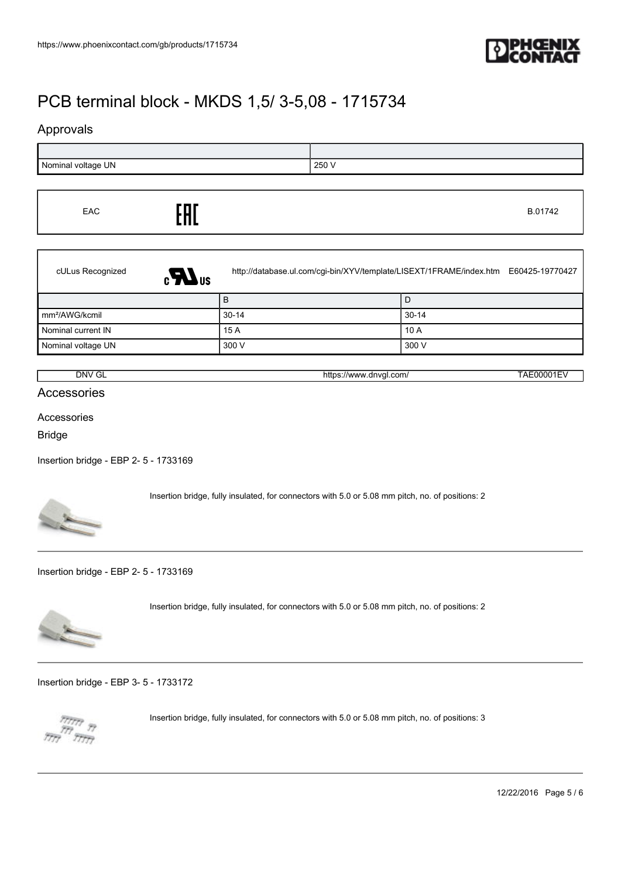

### Approvals



| EAC | EAC |  | B.01742 |
|-----|-----|--|---------|
|-----|-----|--|---------|

| cULus Recognized<br>$\epsilon$ <sub>Us</sub> |           | http://database.ul.com/cgi-bin/XYV/template/LISEXT/1FRAME/index.htm E60425-19770427 |
|----------------------------------------------|-----------|-------------------------------------------------------------------------------------|
|                                              |           | D                                                                                   |
| mm <sup>2</sup> /AWG/kcmil                   | $30 - 14$ | $30-14$                                                                             |
| Nominal current IN                           | 15A       | 10A                                                                                 |
| Nominal voltage UN                           | 300 V     | 300 V                                                                               |

| NV (،<br>$\sim$<br>ີ<br>- | dnval<br>/\^/\^/\<br>com<br>nttos<br>.<br>. .<br>. .<br>$  -$ | $\mathbf{v}$<br>.<br>. |
|---------------------------|---------------------------------------------------------------|------------------------|
|                           |                                                               |                        |

Accessories

### Accessories

Bridge

[Insertion bridge - EBP 2- 5 - 1733169](https://www.phoenixcontact.com/gb/products/1733169)



Insertion bridge, fully insulated, for connectors with 5.0 or 5.08 mm pitch, no. of positions: 2

[Insertion bridge - EBP 2- 5 - 1733169](https://www.phoenixcontact.com/gb/products/1733169)



Insertion bridge, fully insulated, for connectors with 5.0 or 5.08 mm pitch, no. of positions: 2

[Insertion bridge - EBP 3- 5 - 1733172](https://www.phoenixcontact.com/gb/products/1733172)



Insertion bridge, fully insulated, for connectors with 5.0 or 5.08 mm pitch, no. of positions: 3